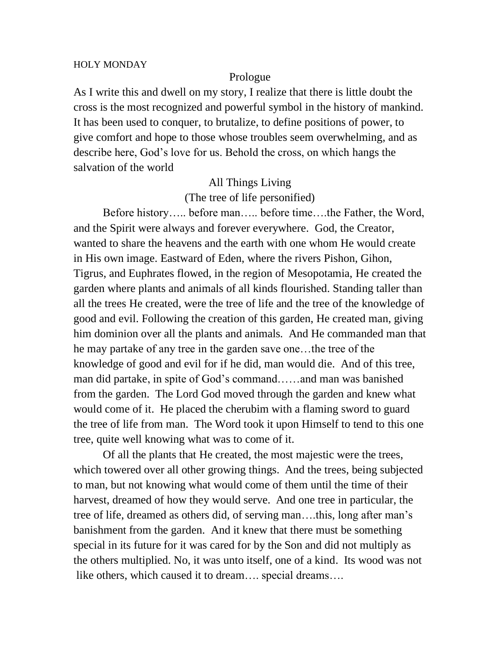#### HOLY MONDAY

#### Prologue

As I write this and dwell on my story, I realize that there is little doubt the cross is the most recognized and powerful symbol in the history of mankind. It has been used to conquer, to brutalize, to define positions of power, to give comfort and hope to those whose troubles seem overwhelming, and as describe here, God's love for us. Behold the cross, on which hangs the salvation of the world

# All Things Living (The tree of life personified)

Before history….. before man….. before time….the Father, the Word, and the Spirit were always and forever everywhere. God, the Creator, wanted to share the heavens and the earth with one whom He would create in His own image. Eastward of Eden, where the rivers Pishon, Gihon, Tigrus, and Euphrates flowed, in the region of Mesopotamia, He created the garden where plants and animals of all kinds flourished. Standing taller than all the trees He created, were the tree of life and the tree of the knowledge of good and evil. Following the creation of this garden, He created man, giving him dominion over all the plants and animals. And He commanded man that he may partake of any tree in the garden save one…the tree of the knowledge of good and evil for if he did, man would die. And of this tree, man did partake, in spite of God's command……and man was banished from the garden. The Lord God moved through the garden and knew what would come of it. He placed the cherubim with a flaming sword to guard the tree of life from man. The Word took it upon Himself to tend to this one tree, quite well knowing what was to come of it.

Of all the plants that He created, the most majestic were the trees, which towered over all other growing things. And the trees, being subjected to man, but not knowing what would come of them until the time of their harvest, dreamed of how they would serve. And one tree in particular, the tree of life, dreamed as others did, of serving man….this, long after man's banishment from the garden. And it knew that there must be something special in its future for it was cared for by the Son and did not multiply as the others multiplied. No, it was unto itself, one of a kind. Its wood was not like others, which caused it to dream…. special dreams….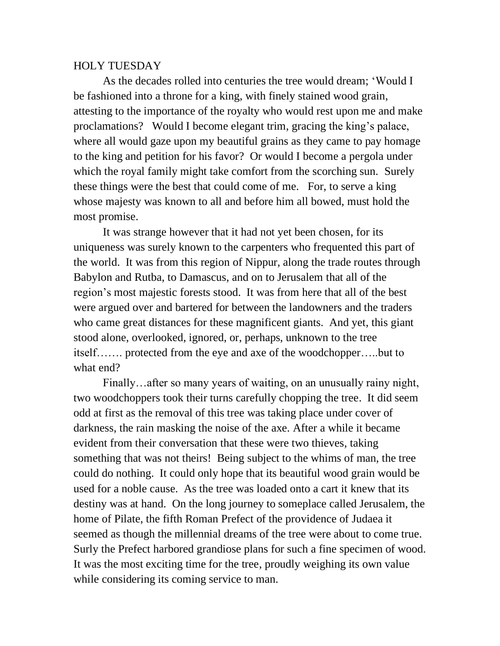## HOLY TUESDAY

As the decades rolled into centuries the tree would dream; 'Would I be fashioned into a throne for a king, with finely stained wood grain, attesting to the importance of the royalty who would rest upon me and make proclamations? Would I become elegant trim, gracing the king's palace, where all would gaze upon my beautiful grains as they came to pay homage to the king and petition for his favor? Or would I become a pergola under which the royal family might take comfort from the scorching sun. Surely these things were the best that could come of me. For, to serve a king whose majesty was known to all and before him all bowed, must hold the most promise.

It was strange however that it had not yet been chosen, for its uniqueness was surely known to the carpenters who frequented this part of the world. It was from this region of Nippur, along the trade routes through Babylon and Rutba, to Damascus, and on to Jerusalem that all of the region's most majestic forests stood. It was from here that all of the best were argued over and bartered for between the landowners and the traders who came great distances for these magnificent giants. And yet, this giant stood alone, overlooked, ignored, or, perhaps, unknown to the tree itself……. protected from the eye and axe of the woodchopper…..but to what end?

Finally…after so many years of waiting, on an unusually rainy night, two woodchoppers took their turns carefully chopping the tree. It did seem odd at first as the removal of this tree was taking place under cover of darkness, the rain masking the noise of the axe. After a while it became evident from their conversation that these were two thieves, taking something that was not theirs! Being subject to the whims of man, the tree could do nothing. It could only hope that its beautiful wood grain would be used for a noble cause. As the tree was loaded onto a cart it knew that its destiny was at hand. On the long journey to someplace called Jerusalem, the home of Pilate, the fifth Roman Prefect of the providence of Judaea it seemed as though the millennial dreams of the tree were about to come true. Surly the Prefect harbored grandiose plans for such a fine specimen of wood. It was the most exciting time for the tree, proudly weighing its own value while considering its coming service to man.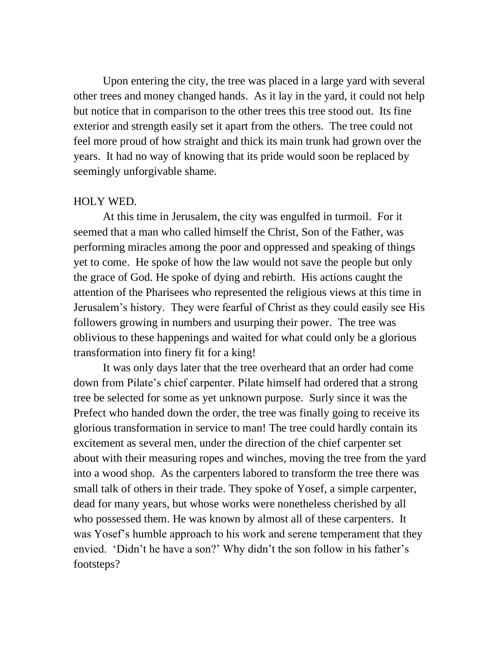Upon entering the city, the tree was placed in a large yard with several other trees and money changed hands. As it lay in the yard, it could not help but notice that in comparison to the other trees this tree stood out. Its fine exterior and strength easily set it apart from the others. The tree could not feel more proud of how straight and thick its main trunk had grown over the years. It had no way of knowing that its pride would soon be replaced by seemingly unforgivable shame.

### HOLY WED.

At this time in Jerusalem, the city was engulfed in turmoil. For it seemed that a man who called himself the Christ, Son of the Father, was performing miracles among the poor and oppressed and speaking of things yet to come. He spoke of how the law would not save the people but only the grace of God. He spoke of dying and rebirth. His actions caught the attention of the Pharisees who represented the religious views at this time in Jerusalem's history. They were fearful of Christ as they could easily see His followers growing in numbers and usurping their power. The tree was oblivious to these happenings and waited for what could only be a glorious transformation into finery fit for a king!

It was only days later that the tree overheard that an order had come down from Pilate's chief carpenter. Pilate himself had ordered that a strong tree be selected for some as yet unknown purpose. Surly since it was the Prefect who handed down the order, the tree was finally going to receive its glorious transformation in service to man! The tree could hardly contain its excitement as several men, under the direction of the chief carpenter set about with their measuring ropes and winches, moving the tree from the yard into a wood shop. As the carpenters labored to transform the tree there was small talk of others in their trade. They spoke of Yosef, a simple carpenter, dead for many years, but whose works were nonetheless cherished by all who possessed them. He was known by almost all of these carpenters. It was Yosef's humble approach to his work and serene temperament that they envied. 'Didn't he have a son?' Why didn't the son follow in his father's footsteps?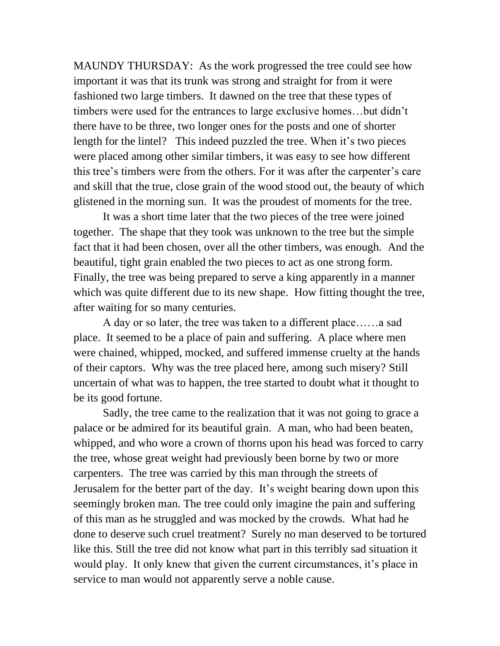MAUNDY THURSDAY: As the work progressed the tree could see how important it was that its trunk was strong and straight for from it were fashioned two large timbers. It dawned on the tree that these types of timbers were used for the entrances to large exclusive homes…but didn't there have to be three, two longer ones for the posts and one of shorter length for the lintel? This indeed puzzled the tree. When it's two pieces were placed among other similar timbers, it was easy to see how different this tree's timbers were from the others. For it was after the carpenter's care and skill that the true, close grain of the wood stood out, the beauty of which glistened in the morning sun. It was the proudest of moments for the tree.

It was a short time later that the two pieces of the tree were joined together. The shape that they took was unknown to the tree but the simple fact that it had been chosen, over all the other timbers, was enough. And the beautiful, tight grain enabled the two pieces to act as one strong form. Finally, the tree was being prepared to serve a king apparently in a manner which was quite different due to its new shape. How fitting thought the tree, after waiting for so many centuries.

A day or so later, the tree was taken to a different place……a sad place. It seemed to be a place of pain and suffering. A place where men were chained, whipped, mocked, and suffered immense cruelty at the hands of their captors. Why was the tree placed here, among such misery? Still uncertain of what was to happen, the tree started to doubt what it thought to be its good fortune.

Sadly, the tree came to the realization that it was not going to grace a palace or be admired for its beautiful grain. A man, who had been beaten, whipped, and who wore a crown of thorns upon his head was forced to carry the tree, whose great weight had previously been borne by two or more carpenters. The tree was carried by this man through the streets of Jerusalem for the better part of the day. It's weight bearing down upon this seemingly broken man. The tree could only imagine the pain and suffering of this man as he struggled and was mocked by the crowds. What had he done to deserve such cruel treatment? Surely no man deserved to be tortured like this. Still the tree did not know what part in this terribly sad situation it would play. It only knew that given the current circumstances, it's place in service to man would not apparently serve a noble cause.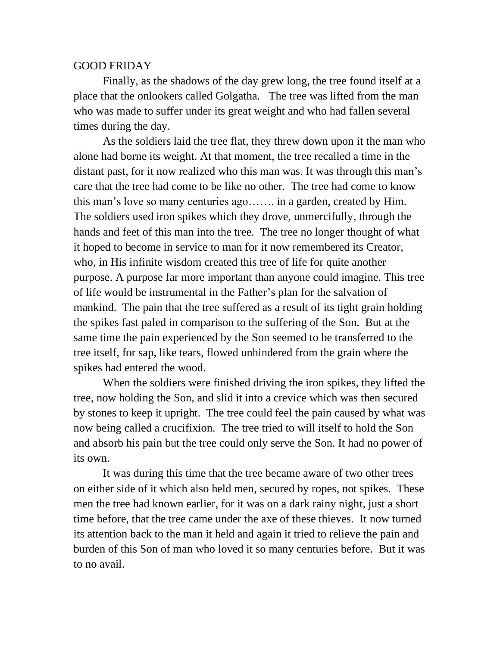### GOOD FRIDAY

Finally, as the shadows of the day grew long, the tree found itself at a place that the onlookers called Golgatha. The tree was lifted from the man who was made to suffer under its great weight and who had fallen several times during the day.

As the soldiers laid the tree flat, they threw down upon it the man who alone had borne its weight. At that moment, the tree recalled a time in the distant past, for it now realized who this man was. It was through this man's care that the tree had come to be like no other. The tree had come to know this man's love so many centuries ago……. in a garden, created by Him. The soldiers used iron spikes which they drove, unmercifully, through the hands and feet of this man into the tree. The tree no longer thought of what it hoped to become in service to man for it now remembered its Creator, who, in His infinite wisdom created this tree of life for quite another purpose. A purpose far more important than anyone could imagine. This tree of life would be instrumental in the Father's plan for the salvation of mankind. The pain that the tree suffered as a result of its tight grain holding the spikes fast paled in comparison to the suffering of the Son. But at the same time the pain experienced by the Son seemed to be transferred to the tree itself, for sap, like tears, flowed unhindered from the grain where the spikes had entered the wood.

When the soldiers were finished driving the iron spikes, they lifted the tree, now holding the Son, and slid it into a crevice which was then secured by stones to keep it upright. The tree could feel the pain caused by what was now being called a crucifixion. The tree tried to will itself to hold the Son and absorb his pain but the tree could only serve the Son. It had no power of its own.

It was during this time that the tree became aware of two other trees on either side of it which also held men, secured by ropes, not spikes. These men the tree had known earlier, for it was on a dark rainy night, just a short time before, that the tree came under the axe of these thieves. It now turned its attention back to the man it held and again it tried to relieve the pain and burden of this Son of man who loved it so many centuries before. But it was to no avail.